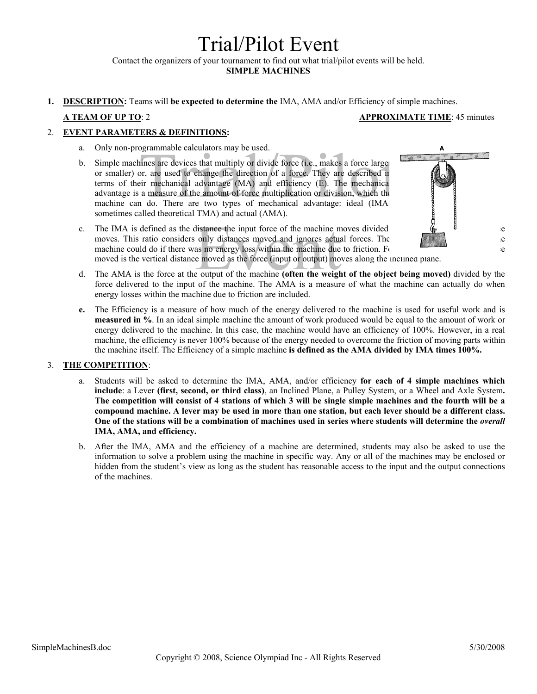# Trial/Pilot Event

Contact the organizers of your tournament to find out what trial/pilot events will be held.

**SIMPLE MACHINES** 

**1. DESCRIPTION:** Teams will **be expected to determine the** IMA, AMA and/or Efficiency of simple machines.

## **A TEAM OF UP TO**: 2 **APPROXIMATE TIME**: 45 minutes

# 2. **EVENT PARAMETERS & DEFINITIONS:**

- a. Only non-programmable calculators may be used.
- ogrammable calculators may be used.<br>
ines are devices that multiply or divide force (i.e., makes a force large<br>
or, are used to change the direction of a force. They are described in<br>
eir mechanical advantage (MA) and effi b. Simple machines are devices that multiply or divide force (i.e., makes a force larger or smaller) or, are used to change the direction of a force. They are described in terms of their mechanical advantage (MA) and efficiency (E). The mechanical advantage is a measure of the amount of force multiplication or division, which the machine can do. There are two types of mechanical advantage: ideal (IMAsometimes called theoretical TMA) and actual (AMA).
	-
- Event IMA is defined as the distance the input force of the machine moves divided<br>
moves. This ratio considers only distances moved and ignores actual forces. The<br>
machine could do if there was no energy loss within the m c. The IMA is defined as the distance the input force of the machine moves divided  $\phi$   $\phi$ moves. This ratio considers only distances moved and ignores actual forces. The  $\ell$  is a measure of what the what the measure of what the measure of what the measure of what the what the measure of what the measure of wh machine could do if there was no energy loss within the machine due to friction. For an include plane, the distance plane, the distance plane, the distance plane, the distance plane, the distance plane, the distance plane moved is the vertical distance moved as the force (input or output) moves along the inclined plane.
- force delivered to the input of the machine. The AMA is a measure of what the machine can actually do when energy losses within the machine due to friction are included.
- **e.** The Efficiency is a measure of how much of the energy delivered to the machine is used for useful work and is **measured in %**. In an ideal simple machine the amount of work produced would be equal to the amount of work or energy delivered to the machine. In this case, the machine would have an efficiency of 100%. However, in a real machine, the efficiency is never 100% because of the energy needed to overcome the friction of moving parts within the machine itself. The Efficiency of a simple machine **is defined as the AMA divided by IMA times 100%.**

### 3. **THE COMPETITION**:

- a. Students will be asked to determine the IMA, AMA, and/or efficiency **for each of 4 simple machines which include**: a Lever **(first, second, or third class)**, an Inclined Plane, a Pulley System, or a Wheel and Axle System**. The competition will consist of 4 stations of which 3 will be single simple machines and the fourth will be a compound machine. A lever may be used in more than one station, but each lever should be a different class. One of the stations will be a combination of machines used in series where students will determine the** *overall* **IMA, AMA, and efficiency.**
- b. After the IMA, AMA and the efficiency of a machine are determined, students may also be asked to use the information to solve a problem using the machine in specific way. Any or all of the machines may be enclosed or hidden from the student's view as long as the student has reasonable access to the input and the output connections of the machines.